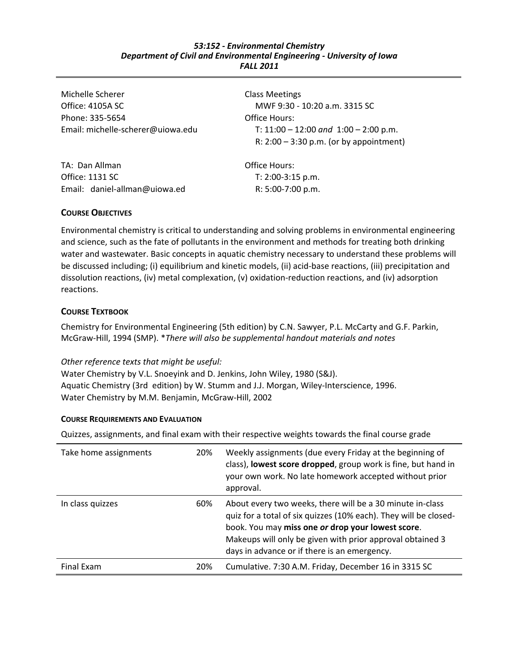#### *53:152 ‐ Environmental Chemistry Department of Civil and Environmental Engineering ‐ University of Iowa FALL 2011*

Michelle Scherer Office: 4105A SC Phone: 335‐5654 Email: michelle‐scherer@uiowa.edu

TA: Dan Allman Office: 1131 SC Email: daniel‐allman@uiowa.ed Class Meetings MWF 9:30 ‐ 10:20 a.m. 3315 SC Office Hours: T: 11:00 – 12:00 *and* 1:00 – 2:00 p.m. R: 2:00 – 3:30 p.m. (or by appointment)

Office Hours: T: 2:00‐3:15 p.m. R: 5:00‐7:00 p.m.

# **COURSE OBJECTIVES**

Environmental chemistry is critical to understanding and solving problems in environmental engineering and science, such as the fate of pollutants in the environment and methods for treating both drinking water and wastewater. Basic concepts in aquatic chemistry necessary to understand these problems will be discussed including; (i) equilibrium and kinetic models, (ii) acid-base reactions, (iii) precipitation and dissolution reactions, (iv) metal complexation, (v) oxidation‐reduction reactions, and (iv) adsorption reactions.

# **COURSE TEXTBOOK**

Chemistry for Environmental Engineering (5th edition) by C.N. Sawyer, P.L. McCarty and G.F. Parkin, McGraw‐Hill, 1994 (SMP). \**There will also be supplemental handout materials and notes*

# *Other reference texts that might be useful:*

Water Chemistry by V.L. Snoeyink and D. Jenkins, John Wiley, 1980 (S&J). Aquatic Chemistry (3rd edition) by W. Stumm and J.J. Morgan, Wiley‐Interscience, 1996. Water Chemistry by M.M. Benjamin, McGraw‐Hill, 2002

# **COURSE REQUIREMENTS AND EVALUATION**

Quizzes, assignments, and final exam with their respective weights towards the final course grade

| Take home assignments | 20% | Weekly assignments (due every Friday at the beginning of<br>class), lowest score dropped, group work is fine, but hand in<br>your own work. No late homework accepted without prior<br>approval.                                                                                                |
|-----------------------|-----|-------------------------------------------------------------------------------------------------------------------------------------------------------------------------------------------------------------------------------------------------------------------------------------------------|
| In class quizzes      | 60% | About every two weeks, there will be a 30 minute in-class<br>quiz for a total of six quizzes (10% each). They will be closed-<br>book. You may miss one or drop your lowest score.<br>Makeups will only be given with prior approval obtained 3<br>days in advance or if there is an emergency. |
| Final Exam            | 20% | Cumulative. 7:30 A.M. Friday, December 16 in 3315 SC                                                                                                                                                                                                                                            |